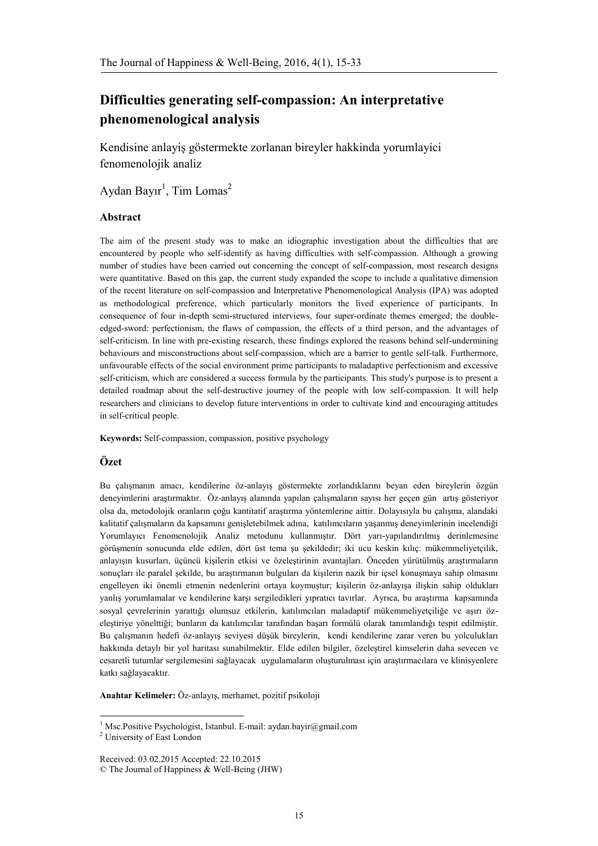# **Difficulties generating self-compassion: An interpretative phenomenological analysis**

Kendisine anlayiş göstermekte zorlanan bireyler hakkinda yorumlayici fenomenolojik analiz

Aydan Bayır<sup>1</sup>, Tim Lomas<sup>2</sup>

## **Abstract**

The aim of the present study was to make an idiographic investigation about the difficulties that are encountered by people who self-identify as having difficulties with self-compassion. Although a growing number of studies have been carried out concerning the concept of self-compassion, most research designs were quantitative. Based on this gap, the current study expanded the scope to include a qualitative dimension of the recent literature on self-compassion and Interpretative Phenomenological Analysis (IPA) was adopted as methodological preference, which particularly monitors the lived experience of participants. In consequence of four in-depth semi-structured interviews, four super-ordinate themes emerged; the doubleedged-sword: perfectionism, the flaws of compassion, the effects of a third person, and the advantages of self-criticism. In line with pre-existing research, these findings explored the reasons behind self-undermining behaviours and misconstructions about self-compassion, which are a barrier to gentle self-talk. Furthermore, unfavourable effects of the social environment prime participants to maladaptive perfectionism and excessive self-criticism, which are considered a success formula by the participants. This study's purpose is to present a detailed roadmap about the self-destructive journey of the people with low self-compassion. It will help researchers and clinicians to develop future interventions in order to cultivate kind and encouraging attitudes in self-critical people.

**Keywords:** Self-compassion, compassion, positive psychology

# **Özet**

Bu çalışmanın amacı, kendilerine öz-anlayış göstermekte zorlandıklarını beyan eden bireylerin özgün deneyimlerini araştırmaktır. Öz-anlayış alanında yapılan çalışmaların sayısı her geçen gün artış gösteriyor olsa da, metodolojik oranların çoğu kantitatif araştırma yöntemlerine aittir. Dolayısıyla bu çalışma, alandaki kalitatif çalışmaların da kapsamını genişletebilmek adına, katılımcıların yaşanmış deneyimlerinin incelendiği Yorumlayıcı Fenomenolojik Analiz metodunu kullanmıştır. Dört yarı-yapılandırılmış derinlemesine görüşmenin sonucunda elde edilen, dört üst tema şu şekildedir; iki ucu keskin kılıç: mükemmeliyetçilik, anlayışın kusurları, üçüncü kişilerin etkisi ve özeleştirinin avantajları. Önceden yürütülmüş araştırmaların sonuçları ile paralel şekilde, bu araştırmanın bulguları da kişilerin nazik bir içsel konuşmaya sahip olmasını engelleyen iki önemli etmenin nedenlerini ortaya koymuştur; kişilerin öz-anlayışa ilişkin sahip oldukları yanlış yorumlamalar ve kendilerine karşı sergiledikleri yıpratıcı tavırlar. Ayrıca, bu araştırma kapsamında sosyal çevrelerinin yarattığı olumsuz etkilerin, katılımcıları maladaptif mükemmeliyetçiliğe ve aşırı özeleştiriye yönelttiği; bunların da katılımcılar tarafından başarı formülü olarak tanımlandığı tespit edilmiştir. Bu çalışmanın hedefi öz-anlayış seviyesi düşük bireylerin, kendi kendilerine zarar veren bu yolculukları hakkında detaylı bir yol haritası sunabilmektir. Elde edilen bilgiler, özeleştirel kimselerin daha sevecen ve cesaretli tutumlar sergilemesini sağlayacak uygulamaların oluşturulması için araştırmacılara ve klinisyenlere katkı sağlayacaktır.

**Anahtar Kelimeler:** Öz-anlayış, merhamet, pozitif psikoloji

<sup>1</sup> Msc.Positive Psychologist, Istanbul. E-mail[: aydan.bayir@gmail.com](mailto:aydan.bayir@gmail.com)

<sup>2</sup> University of East London

 $\overline{\phantom{a}}$ 

Received: 03.02.2015 Accepted: 22.10.2015 © The Journal of Happiness & Well-Being (JHW)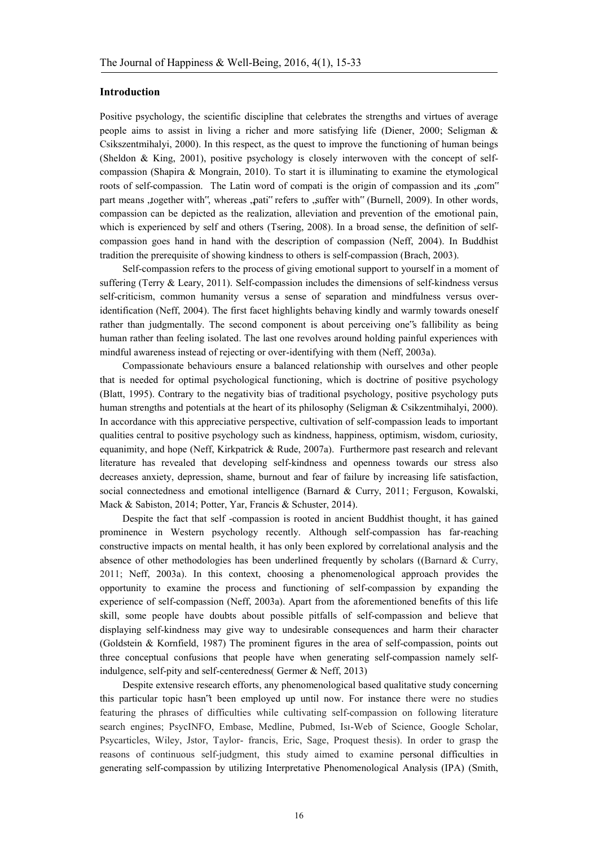### **Introduction**

Positive psychology, the scientific discipline that celebrates the strengths and virtues of average people aims to assist in living a richer and more satisfying life (Diener, 2000; Seligman & Csikszentmihalyi, 2000). In this respect, as the quest to improve the functioning of human beings (Sheldon & King, 2001), positive psychology is closely interwoven with the concept of selfcompassion (Shapira & Mongrain, 2010). To start it is illuminating to examine the etymological roots of self-compassion. The Latin word of compati is the origin of compassion and its ,com" part means ,together with", whereas ,pati" refers to ,suffer with" (Burnell, 2009). In other words, compassion can be depicted as the realization, alleviation and prevention of the emotional pain, which is experienced by self and others (Tsering, 2008). In a broad sense, the definition of selfcompassion goes hand in hand with the description of compassion (Neff, 2004). In Buddhist tradition the prerequisite of showing kindness to others is self-compassion (Brach, 2003).

Self-compassion refers to the process of giving emotional support to yourself in a moment of suffering (Terry & Leary, 2011). Self-compassion includes the dimensions of self-kindness versus self-criticism, common humanity versus a sense of separation and mindfulness versus overidentification (Neff, 2004). The first facet highlights behaving kindly and warmly towards oneself rather than judgmentally. The second component is about perceiving one"s fallibility as being human rather than feeling isolated. The last one revolves around holding painful experiences with mindful awareness instead of rejecting or over-identifying with them (Neff, 2003a).

Compassionate behaviours ensure a balanced relationship with ourselves and other people that is needed for optimal psychological functioning, which is doctrine of positive psychology (Blatt, 1995). Contrary to the negativity bias of traditional psychology, positive psychology puts human strengths and potentials at the heart of its philosophy (Seligman & Csikzentmihalyi, 2000). In accordance with this appreciative perspective, cultivation of self-compassion leads to important qualities central to positive psychology such as kindness, happiness, optimism, wisdom, curiosity, equanimity, and hope (Neff, Kirkpatrick & Rude, 2007a). Furthermore past research and relevant literature has revealed that developing self-kindness and openness towards our stress also decreases anxiety, depression, shame, burnout and fear of failure by increasing life satisfaction, social connectedness and emotional intelligence (Barnard & Curry, 2011; Ferguson, Kowalski, Mack & Sabiston, 2014; Potter, Yar, Francis & Schuster, 2014).

Despite the fact that self -compassion is rooted in ancient Buddhist thought, it has gained prominence in Western psychology recently. Although self-compassion has far-reaching constructive impacts on mental health, it has only been explored by correlational analysis and the absence of other methodologies has been underlined frequently by scholars ((Barnard  $\&$  Curry, 2011; Neff, 2003a). In this context, choosing a phenomenological approach provides the opportunity to examine the process and functioning of self-compassion by expanding the experience of self-compassion (Neff, 2003a). Apart from the aforementioned benefits of this life skill, some people have doubts about possible pitfalls of self-compassion and believe that displaying self-kindness may give way to undesirable consequences and harm their character (Goldstein & Kornfield, 1987) The prominent figures in the area of self-compassion, points out three conceptual confusions that people have when generating self-compassion namely selfindulgence, self-pity and self-centeredness( Germer & Neff, 2013)

Despite extensive research efforts, any phenomenological based qualitative study concerning this particular topic hasn"t been employed up until now. For instance there were no studies featuring the phrases of difficulties while cultivating self-compassion on following literature search engines; PsycINFO, Embase, Medline, Pubmed, Isı-Web of Science, Google Scholar, Psycarticles, Wiley, Jstor, Taylor- francis, Eric, Sage, Proquest thesis). In order to grasp the reasons of continuous self-judgment, this study aimed to examine personal difficulties in generating self-compassion by utilizing Interpretative Phenomenological Analysis (IPA) (Smith,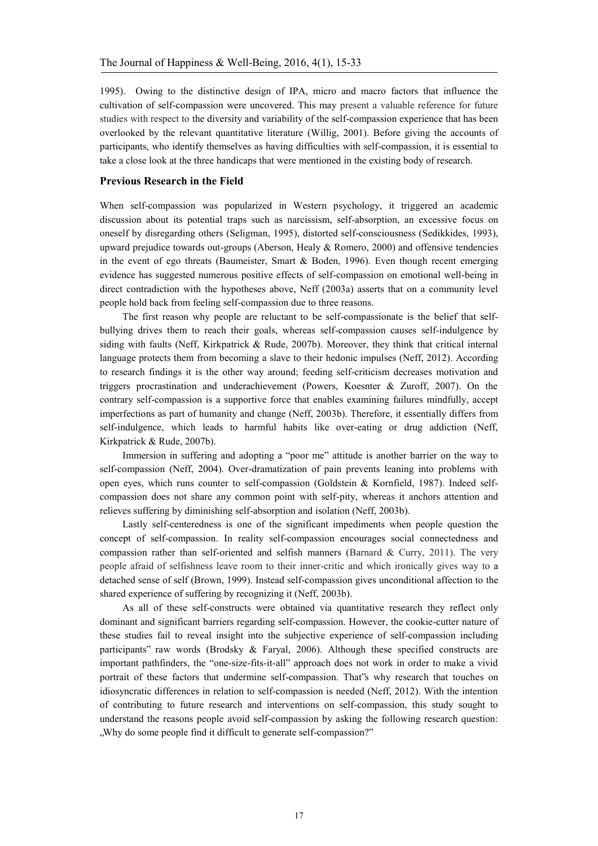1995). Owing to the distinctive design of IPA, micro and macro factors that influence the cultivation of self-compassion were uncovered. This may present a valuable reference for future studies with respect to the diversity and variability of the self-compassion experience that has been overlooked by the relevant quantitative literature (Willig, 2001). Before giving the accounts of participants, who identify themselves as having difficulties with self-compassion, it is essential to take a close look at the three handicaps that were mentioned in the existing body of research.

### **Previous Research in the Field**

When self-compassion was popularized in Western psychology, it triggered an academic discussion about its potential traps such as narcissism, self-absorption, an excessive focus on oneself by disregarding others (Seligman, 1995), distorted self-consciousness (Sedikkides, 1993), upward prejudice towards out-groups (Aberson, Healy & Romero, 2000) and offensive tendencies in the event of ego threats (Baumeister, Smart & Boden, 1996). Even though recent emerging evidence has suggested numerous positive effects of self-compassion on emotional well-being in direct contradiction with the hypotheses above, Neff (2003a) asserts that on a community level people hold back from feeling self-compassion due to three reasons.

The first reason why people are reluctant to be self-compassionate is the belief that selfbullying drives them to reach their goals, whereas self-compassion causes self-indulgence by siding with faults (Neff, Kirkpatrick & Rude, 2007b). Moreover, they think that critical internal language protects them from becoming a slave to their hedonic impulses (Neff, 2012). According to research findings it is the other way around; feeding self-criticism decreases motivation and triggers procrastination and underachievement (Powers, Koesnter & Zuroff, 2007). On the contrary self-compassion is a supportive force that enables examining failures mindfully, accept imperfections as part of humanity and change (Neff, 2003b). Therefore, it essentially differs from self-indulgence, which leads to harmful habits like over-eating or drug addiction (Neff, Kirkpatrick & Rude, 2007b).

Immersion in suffering and adopting a "poor me" attitude is another barrier on the way to self-compassion (Neff, 2004). Over-dramatization of pain prevents leaning into problems with open eyes, which runs counter to self-compassion (Goldstein & Kornfield, 1987). Indeed selfcompassion does not share any common point with self-pity, whereas it anchors attention and relieves suffering by diminishing self-absorption and isolation (Neff, 2003b).

Lastly self-centeredness is one of the significant impediments when people question the concept of self-compassion. In reality self-compassion encourages social connectedness and compassion rather than self-oriented and selfish manners (Barnard & Curry, 2011). The very people afraid of selfishness leave room to their inner-critic and which ironically gives way to a detached sense of self (Brown, 1999). Instead self-compassion gives unconditional affection to the shared experience of suffering by recognizing it (Neff, 2003b).

As all of these self-constructs were obtained via quantitative research they reflect only dominant and significant barriers regarding self-compassion. However, the cookie-cutter nature of these studies fail to reveal insight into the subjective experience of self-compassion including participants" raw words (Brodsky & Faryal, 2006). Although these specified constructs are important pathfinders, the "one-size-fits-it-all" approach does not work in order to make a vivid portrait of these factors that undermine self-compassion. That"s why research that touches on idiosyncratic differences in relation to self-compassion is needed (Neff, 2012). With the intention of contributing to future research and interventions on self-compassion, this study sought to understand the reasons people avoid self-compassion by asking the following research question: "Why do some people find it difficult to generate self-compassion?"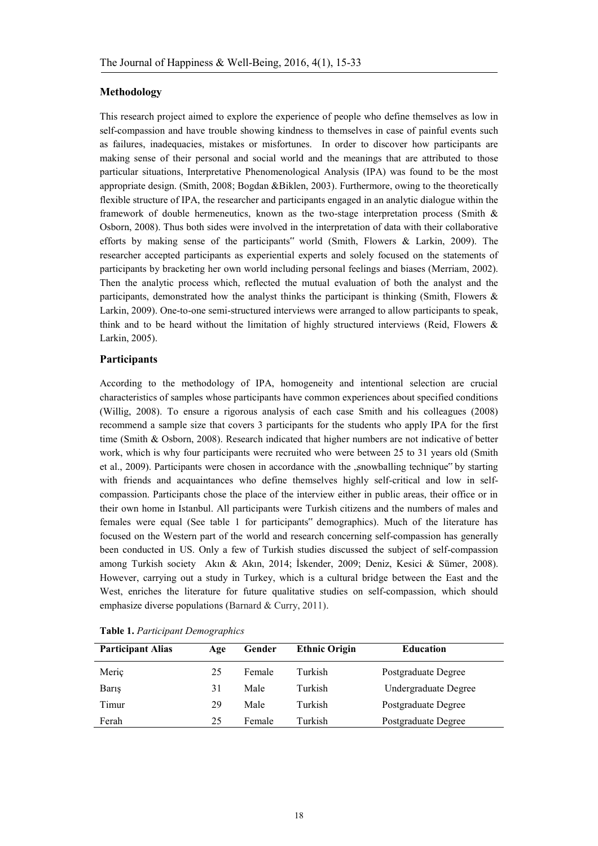### **Methodology**

This research project aimed to explore the experience of people who define themselves as low in self-compassion and have trouble showing kindness to themselves in case of painful events such as failures, inadequacies, mistakes or misfortunes. In order to discover how participants are making sense of their personal and social world and the meanings that are attributed to those particular situations, Interpretative Phenomenological Analysis (IPA) was found to be the most appropriate design. (Smith, 2008; Bogdan &Biklen, 2003). Furthermore, owing to the theoretically flexible structure of IPA, the researcher and participants engaged in an analytic dialogue within the framework of double hermeneutics, known as the two-stage interpretation process (Smith & Osborn, 2008). Thus both sides were involved in the interpretation of data with their collaborative efforts by making sense of the participants" world (Smith, Flowers & Larkin, 2009). The researcher accepted participants as experiential experts and solely focused on the statements of participants by bracketing her own world including personal feelings and biases (Merriam, 2002). Then the analytic process which, reflected the mutual evaluation of both the analyst and the participants, demonstrated how the analyst thinks the participant is thinking (Smith, Flowers & Larkin, 2009). One-to-one semi-structured interviews were arranged to allow participants to speak, think and to be heard without the limitation of highly structured interviews (Reid, Flowers & Larkin, 2005).

### **Participants**

According to the methodology of IPA, homogeneity and intentional selection are crucial characteristics of samples whose participants have common experiences about specified conditions (Willig, 2008). To ensure a rigorous analysis of each case Smith and his colleagues (2008) recommend a sample size that covers 3 participants for the students who apply IPA for the first time (Smith & Osborn, 2008). Research indicated that higher numbers are not indicative of better work, which is why four participants were recruited who were between 25 to 31 years old (Smith et al., 2009). Participants were chosen in accordance with the "snowballing technique" by starting with friends and acquaintances who define themselves highly self-critical and low in selfcompassion. Participants chose the place of the interview either in public areas, their office or in their own home in Istanbul. All participants were Turkish citizens and the numbers of males and females were equal (See table 1 for participants" demographics). Much of the literature has focused on the Western part of the world and research concerning self-compassion has generally been conducted in US. Only a few of Turkish studies discussed the subject of self-compassion among Turkish society Akın & Akın, 2014; İskender, 2009; Deniz, Kesici & Sümer, 2008). However, carrying out a study in Turkey, which is a cultural bridge between the East and the West, enriches the literature for future qualitative studies on self-compassion, which should emphasize diverse populations (Barnard & Curry, 2011).

| <b>Participant Alias</b> | Age | Gender | <b>Ethnic Origin</b> | <b>Education</b>     |
|--------------------------|-----|--------|----------------------|----------------------|
| Meriç                    | 25  | Female | Turkish              | Postgraduate Degree  |
| Baris                    | 31  | Male   | Turkish              | Undergraduate Degree |
| Timur                    | 29  | Male   | Turkish              | Postgraduate Degree  |
| Ferah                    | 25  | Female | Turkish              | Postgraduate Degree  |

**Table 1.** *Participant Demographics*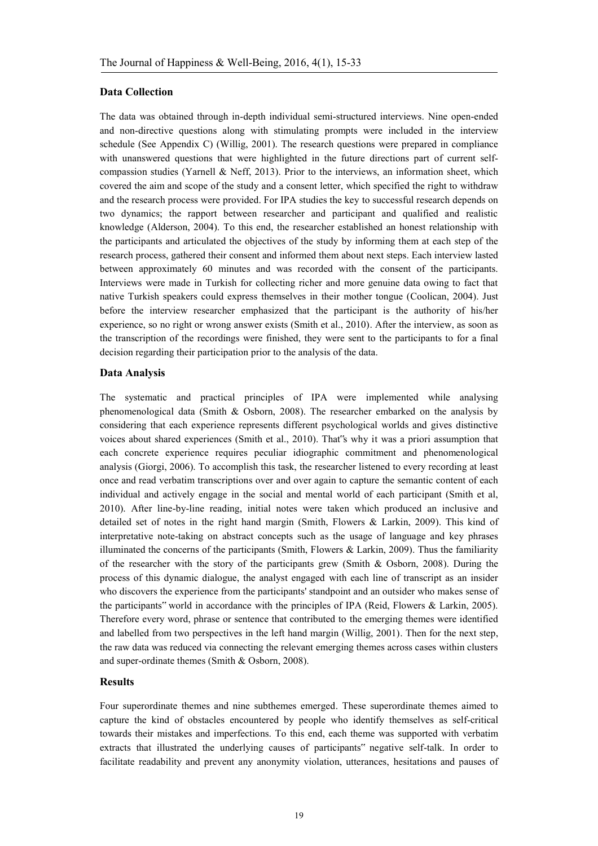### **Data Collection**

The data was obtained through in-depth individual semi-structured interviews. Nine open-ended and non-directive questions along with stimulating prompts were included in the interview schedule (See Appendix C) (Willig, 2001). The research questions were prepared in compliance with unanswered questions that were highlighted in the future directions part of current selfcompassion studies (Yarnell & Neff, 2013). Prior to the interviews, an information sheet, which covered the aim and scope of the study and a consent letter, which specified the right to withdraw and the research process were provided. For IPA studies the key to successful research depends on two dynamics; the rapport between researcher and participant and qualified and realistic knowledge (Alderson, 2004). To this end, the researcher established an honest relationship with the participants and articulated the objectives of the study by informing them at each step of the research process, gathered their consent and informed them about next steps. Each interview lasted between approximately 60 minutes and was recorded with the consent of the participants. Interviews were made in Turkish for collecting richer and more genuine data owing to fact that native Turkish speakers could express themselves in their mother tongue (Coolican, 2004). Just before the interview researcher emphasized that the participant is the authority of his/her experience, so no right or wrong answer exists (Smith et al., 2010). After the interview, as soon as the transcription of the recordings were finished, they were sent to the participants to for a final decision regarding their participation prior to the analysis of the data.

## **Data Analysis**

The systematic and practical principles of IPA were implemented while analysing phenomenological data (Smith & Osborn, 2008). The researcher embarked on the analysis by considering that each experience represents different psychological worlds and gives distinctive voices about shared experiences (Smith et al., 2010). That"s why it was a priori assumption that each concrete experience requires peculiar idiographic commitment and phenomenological analysis (Giorgi, 2006). To accomplish this task, the researcher listened to every recording at least once and read verbatim transcriptions over and over again to capture the semantic content of each individual and actively engage in the social and mental world of each participant (Smith et al, 2010). After line-by-line reading, initial notes were taken which produced an inclusive and detailed set of notes in the right hand margin (Smith, Flowers & Larkin, 2009). This kind of interpretative note-taking on abstract concepts such as the usage of language and key phrases illuminated the concerns of the participants (Smith, Flowers & Larkin, 2009). Thus the familiarity of the researcher with the story of the participants grew (Smith & Osborn, 2008). During the process of this dynamic dialogue, the analyst engaged with each line of transcript as an insider who discovers the experience from the participants' standpoint and an outsider who makes sense of the participants" world in accordance with the principles of IPA (Reid, Flowers & Larkin, 2005). Therefore every word, phrase or sentence that contributed to the emerging themes were identified and labelled from two perspectives in the left hand margin (Willig, 2001). Then for the next step, the raw data was reduced via connecting the relevant emerging themes across cases within clusters and super-ordinate themes (Smith & Osborn, 2008).

#### **Results**

Four superordinate themes and nine subthemes emerged. These superordinate themes aimed to capture the kind of obstacles encountered by people who identify themselves as self-critical towards their mistakes and imperfections. To this end, each theme was supported with verbatim extracts that illustrated the underlying causes of participants" negative self-talk. In order to facilitate readability and prevent any anonymity violation, utterances, hesitations and pauses of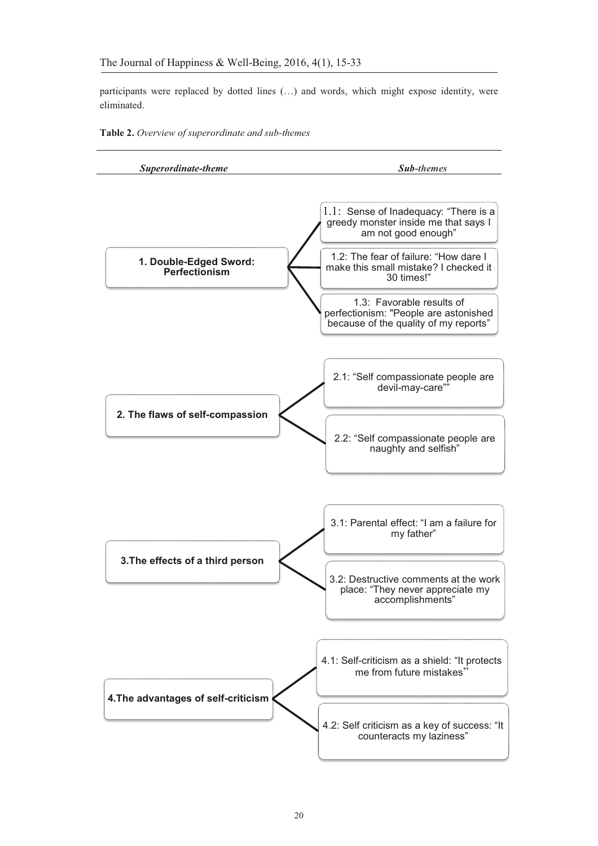participants were replaced by dotted lines  $(...)$  and words, which might expose identity, were eliminated.



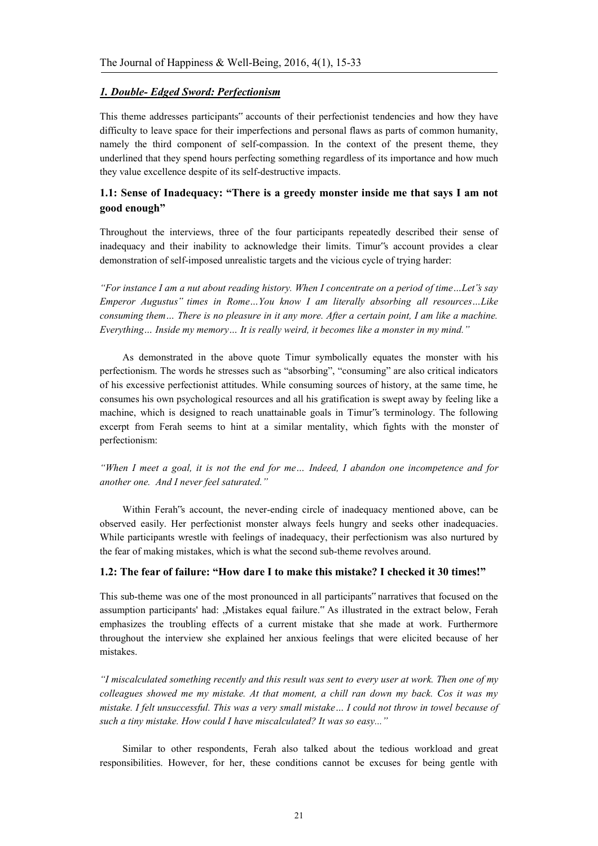## *1. Double- Edged Sword: Perfectionism*

This theme addresses participants" accounts of their perfectionist tendencies and how they have difficulty to leave space for their imperfections and personal flaws as parts of common humanity, namely the third component of self-compassion. In the context of the present theme, they underlined that they spend hours perfecting something regardless of its importance and how much they value excellence despite of its self-destructive impacts.

# **1.1: Sense of Inadequacy: "There is a greedy monster inside me that says I am not good enough"**

Throughout the interviews, three of the four participants repeatedly described their sense of inadequacy and their inability to acknowledge their limits. Timur"s account provides a clear demonstration of self-imposed unrealistic targets and the vicious cycle of trying harder:

*"For instance I am a nut about reading history. When I concentrate on a period of time…Let"s say Emperor Augustus" times in Rome…You know I am literally absorbing all resources…Like consuming them… There is no pleasure in it any more. After a certain point, I am like a machine. Everything… Inside my memory… It is really weird, it becomes like a monster in my mind."* 

As demonstrated in the above quote Timur symbolically equates the monster with his perfectionism. The words he stresses such as "absorbing", "consuming" are also critical indicators of his excessive perfectionist attitudes. While consuming sources of history, at the same time, he consumes his own psychological resources and all his gratification is swept away by feeling like a machine, which is designed to reach unattainable goals in Timur"s terminology. The following excerpt from Ferah seems to hint at a similar mentality, which fights with the monster of perfectionism:

*"When I meet a goal, it is not the end for me… Indeed, I abandon one incompetence and for another one. And I never feel saturated."* 

Within Ferah"s account, the never-ending circle of inadequacy mentioned above, can be observed easily. Her perfectionist monster always feels hungry and seeks other inadequacies. While participants wrestle with feelings of inadequacy, their perfectionism was also nurtured by the fear of making mistakes, which is what the second sub-theme revolves around.

## **1.2: The fear of failure: "How dare I to make this mistake? I checked it 30 times!"**

This sub-theme was one of the most pronounced in all participants" narratives that focused on the assumption participants' had: "Mistakes equal failure." As illustrated in the extract below, Ferah emphasizes the troubling effects of a current mistake that she made at work. Furthermore throughout the interview she explained her anxious feelings that were elicited because of her mistakes.

*"I miscalculated something recently and this result was sent to every user at work. Then one of my colleagues showed me my mistake. At that moment, a chill ran down my back. Cos it was my mistake. I felt unsuccessful. This was a very small mistake… I could not throw in towel because of such a tiny mistake. How could I have miscalculated? It was so easy..."* 

Similar to other respondents, Ferah also talked about the tedious workload and great responsibilities. However, for her, these conditions cannot be excuses for being gentle with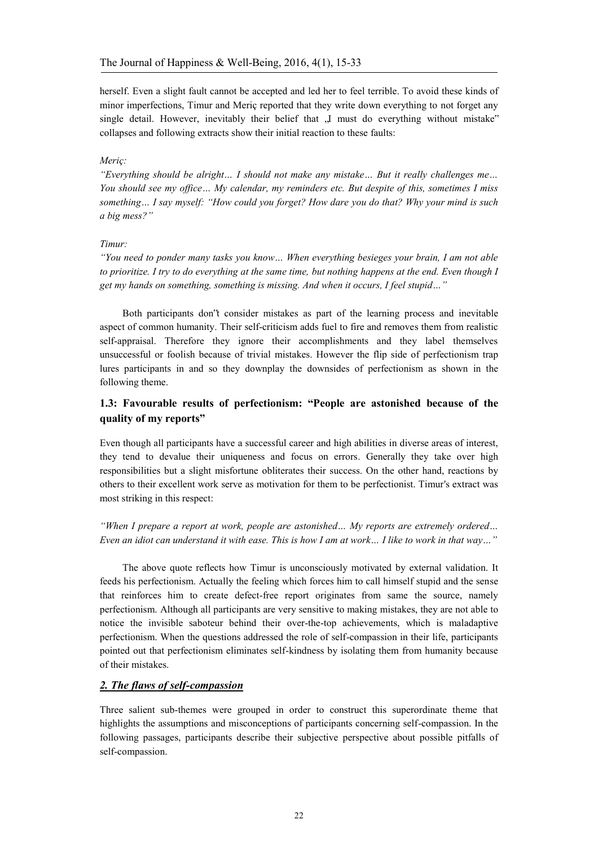herself. Even a slight fault cannot be accepted and led her to feel terrible. To avoid these kinds of minor imperfections, Timur and Meriç reported that they write down everything to not forget any single detail. However, inevitably their belief that "I must do everything without mistake" collapses and following extracts show their initial reaction to these faults:

### *Meriç:*

*"Everything should be alright… I should not make any mistake… But it really challenges me… You should see my office… My calendar, my reminders etc. But despite of this, sometimes I miss something… I say myself: "How could you forget? How dare you do that? Why your mind is such a big mess?"* 

#### *Timur:*

*"You need to ponder many tasks you know… When everything besieges your brain, I am not able to prioritize. I try to do everything at the same time, but nothing happens at the end. Even though I get my hands on something, something is missing. And when it occurs, I feel stupid…"* 

Both participants don"t consider mistakes as part of the learning process and inevitable aspect of common humanity. Their self-criticism adds fuel to fire and removes them from realistic self-appraisal. Therefore they ignore their accomplishments and they label themselves unsuccessful or foolish because of trivial mistakes. However the flip side of perfectionism trap lures participants in and so they downplay the downsides of perfectionism as shown in the following theme.

# **1.3: Favourable results of perfectionism: "People are astonished because of the quality of my reports"**

Even though all participants have a successful career and high abilities in diverse areas of interest, they tend to devalue their uniqueness and focus on errors. Generally they take over high responsibilities but a slight misfortune obliterates their success. On the other hand, reactions by others to their excellent work serve as motivation for them to be perfectionist. Timur's extract was most striking in this respect:

*"When I prepare a report at work, people are astonished… My reports are extremely ordered… Even an idiot can understand it with ease. This is how I am at work… I like to work in that way…"* 

The above quote reflects how Timur is unconsciously motivated by external validation. It feeds his perfectionism. Actually the feeling which forces him to call himself stupid and the sense that reinforces him to create defect-free report originates from same the source, namely perfectionism. Although all participants are very sensitive to making mistakes, they are not able to notice the invisible saboteur behind their over-the-top achievements, which is maladaptive perfectionism. When the questions addressed the role of self-compassion in their life, participants pointed out that perfectionism eliminates self-kindness by isolating them from humanity because of their mistakes.

# *2. The flaws of self-compassion*

Three salient sub-themes were grouped in order to construct this superordinate theme that highlights the assumptions and misconceptions of participants concerning self-compassion. In the following passages, participants describe their subjective perspective about possible pitfalls of self-compassion.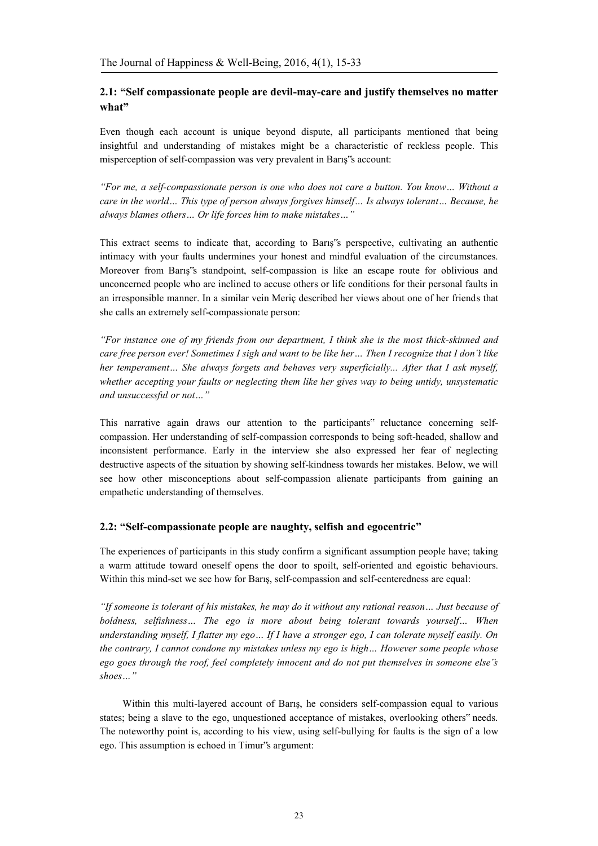# **2.1: "Self compassionate people are devil-may-care and justify themselves no matter what"**

Even though each account is unique beyond dispute, all participants mentioned that being insightful and understanding of mistakes might be a characteristic of reckless people. This misperception of self-compassion was very prevalent in Barış"s account:

*"For me, a self-compassionate person is one who does not care a button. You know… Without a care in the world… This type of person always forgives himself… Is always tolerant… Because, he always blames others… Or life forces him to make mistakes…"* 

This extract seems to indicate that, according to Barış"s perspective, cultivating an authentic intimacy with your faults undermines your honest and mindful evaluation of the circumstances. Moreover from Barış"s standpoint, self-compassion is like an escape route for oblivious and unconcerned people who are inclined to accuse others or life conditions for their personal faults in an irresponsible manner. In a similar vein Meriç described her views about one of her friends that she calls an extremely self-compassionate person:

*"For instance one of my friends from our department, I think she is the most thick-skinned and care free person ever! Sometimes I sigh and want to be like her… Then I recognize that I don"t like her temperament… She always forgets and behaves very superficially... After that I ask myself, whether accepting your faults or neglecting them like her gives way to being untidy, unsystematic and unsuccessful or not…"* 

This narrative again draws our attention to the participants" reluctance concerning selfcompassion. Her understanding of self-compassion corresponds to being soft-headed, shallow and inconsistent performance. Early in the interview she also expressed her fear of neglecting destructive aspects of the situation by showing self-kindness towards her mistakes. Below, we will see how other misconceptions about self-compassion alienate participants from gaining an empathetic understanding of themselves.

# **2.2: "Self-compassionate people are naughty, selfish and egocentric"**

The experiences of participants in this study confirm a significant assumption people have; taking a warm attitude toward oneself opens the door to spoilt, self-oriented and egoistic behaviours. Within this mind-set we see how for Barış, self-compassion and self-centeredness are equal:

*"If someone is tolerant of his mistakes, he may do it without any rational reason… Just because of boldness, selfishness… The ego is more about being tolerant towards yourself… When understanding myself, I flatter my ego… If I have a stronger ego, I can tolerate myself easily. On the contrary, I cannot condone my mistakes unless my ego is high… However some people whose ego goes through the roof, feel completely innocent and do not put themselves in someone else"s shoes…"* 

Within this multi-layered account of Barış, he considers self-compassion equal to various states; being a slave to the ego, unquestioned acceptance of mistakes, overlooking others" needs. The noteworthy point is, according to his view, using self-bullying for faults is the sign of a low ego. This assumption is echoed in Timur"s argument: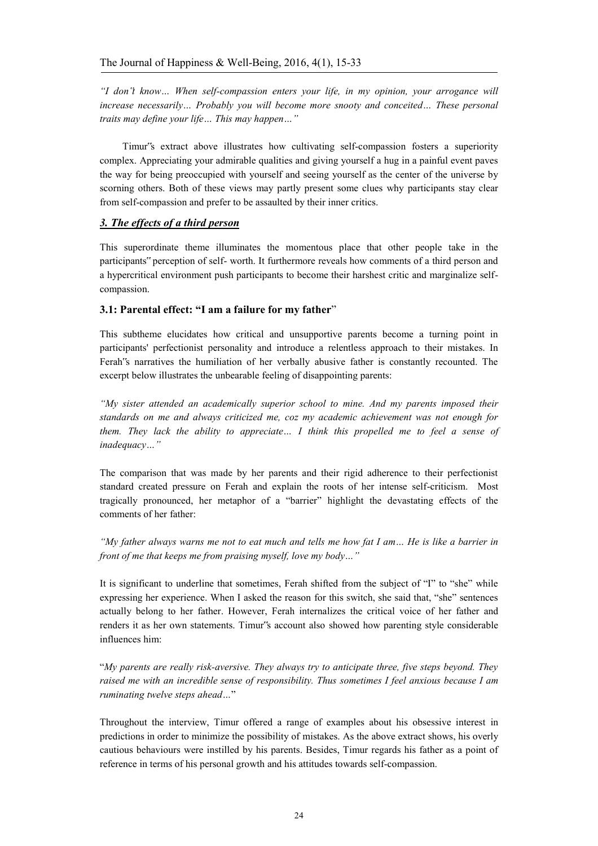*"I don"t know… When self-compassion enters your life, in my opinion, your arrogance will increase necessarily… Probably you will become more snooty and conceited… These personal traits may define your life… This may happen…"* 

Timur"s extract above illustrates how cultivating self-compassion fosters a superiority complex. Appreciating your admirable qualities and giving yourself a hug in a painful event paves the way for being preoccupied with yourself and seeing yourself as the center of the universe by scorning others. Both of these views may partly present some clues why participants stay clear from self-compassion and prefer to be assaulted by their inner critics.

# *3. The effects of a third person*

This superordinate theme illuminates the momentous place that other people take in the participants" perception of self- worth. It furthermore reveals how comments of a third person and a hypercritical environment push participants to become their harshest critic and marginalize selfcompassion.

# **3.1: Parental effect: "I am a failure for my father**"

This subtheme elucidates how critical and unsupportive parents become a turning point in participants' perfectionist personality and introduce a relentless approach to their mistakes. In Ferah"s narratives the humiliation of her verbally abusive father is constantly recounted. The excerpt below illustrates the unbearable feeling of disappointing parents:

*"My sister attended an academically superior school to mine. And my parents imposed their standards on me and always criticized me, coz my academic achievement was not enough for them. They lack the ability to appreciate… I think this propelled me to feel a sense of inadequacy…"* 

The comparison that was made by her parents and their rigid adherence to their perfectionist standard created pressure on Ferah and explain the roots of her intense self-criticism. Most tragically pronounced, her metaphor of a "barrier" highlight the devastating effects of the comments of her father:

*"My father always warns me not to eat much and tells me how fat I am… He is like a barrier in front of me that keeps me from praising myself, love my body…"* 

It is significant to underline that sometimes, Ferah shifted from the subject of "I" to "she" while expressing her experience. When I asked the reason for this switch, she said that, "she" sentences actually belong to her father. However, Ferah internalizes the critical voice of her father and renders it as her own statements. Timur"s account also showed how parenting style considerable influences him:

"*My parents are really risk-aversive. They always try to anticipate three, five steps beyond. They raised me with an incredible sense of responsibility. Thus sometimes I feel anxious because I am ruminating twelve steps ahead…*"

Throughout the interview, Timur offered a range of examples about his obsessive interest in predictions in order to minimize the possibility of mistakes. As the above extract shows, his overly cautious behaviours were instilled by his parents. Besides, Timur regards his father as a point of reference in terms of his personal growth and his attitudes towards self-compassion.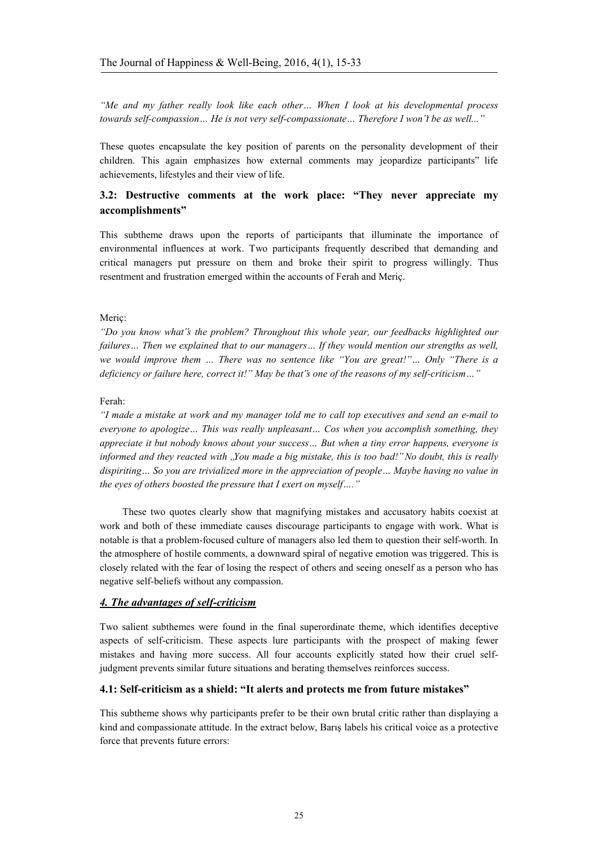*"Me and my father really look like each other… When I look at his developmental process towards self-compassion… He is not very self-compassionate… Therefore I won"t be as well..."* 

These quotes encapsulate the key position of parents on the personality development of their children. This again emphasizes how external comments may jeopardize participants" life achievements, lifestyles and their view of life.

# **3.2: Destructive comments at the work place: "They never appreciate my accomplishments"**

This subtheme draws upon the reports of participants that illuminate the importance of environmental influences at work. Two participants frequently described that demanding and critical managers put pressure on them and broke their spirit to progress willingly. Thus resentment and frustration emerged within the accounts of Ferah and Meriç.

#### Meriç:

*"Do you know what"s the problem? Throughout this whole year, our feedbacks highlighted our failures… Then we explained that to our managers… If they would mention our strengths as well, we would improve them … There was no sentence like "You are great!"… Only "There is a deficiency or failure here, correct it!" May be that"s one of the reasons of my self-criticism…"* 

#### Ferah:

*"I made a mistake at work and my manager told me to call top executives and send an e-mail to everyone to apologize… This was really unpleasant… Cos when you accomplish something, they appreciate it but nobody knows about your success… But when a tiny error happens, everyone is informed and they reacted with "You made a big mistake, this is too bad!" No doubt, this is really dispiriting… So you are trivialized more in the appreciation of people… Maybe having no value in the eyes of others boosted the pressure that I exert on myself…."* 

These two quotes clearly show that magnifying mistakes and accusatory habits coexist at work and both of these immediate causes discourage participants to engage with work. What is notable is that a problem-focused culture of managers also led them to question their self-worth. In the atmosphere of hostile comments, a downward spiral of negative emotion was triggered. This is closely related with the fear of losing the respect of others and seeing oneself as a person who has negative self-beliefs without any compassion.

### *4. The advantages of self-criticism*

Two salient subthemes were found in the final superordinate theme, which identifies deceptive aspects of self-criticism. These aspects lure participants with the prospect of making fewer mistakes and having more success. All four accounts explicitly stated how their cruel selfjudgment prevents similar future situations and berating themselves reinforces success.

### **4.1: Self-criticism as a shield: "It alerts and protects me from future mistakes"**

This subtheme shows why participants prefer to be their own brutal critic rather than displaying a kind and compassionate attitude. In the extract below, Barış labels his critical voice as a protective force that prevents future errors: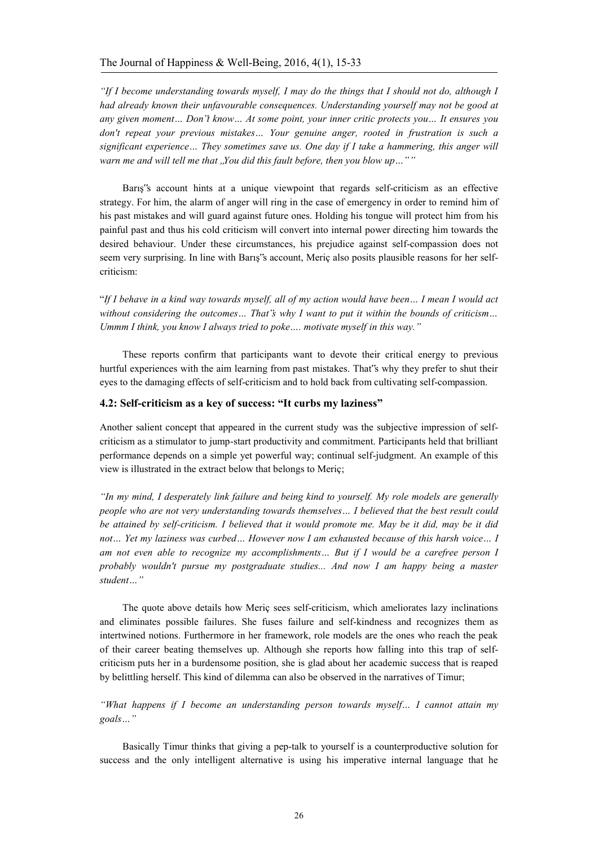*"If I become understanding towards myself, I may do the things that I should not do, although I had already known their unfavourable consequences. Understanding yourself may not be good at any given moment… Don"t know… At some point, your inner critic protects you… It ensures you don't repeat your previous mistakes… Your genuine anger, rooted in frustration is such a significant experience… They sometimes save us. One day if I take a hammering, this anger will*  warn me and will tell me that "You did this fault before, then you blow up...""

Barış"s account hints at a unique viewpoint that regards self-criticism as an effective strategy. For him, the alarm of anger will ring in the case of emergency in order to remind him of his past mistakes and will guard against future ones. Holding his tongue will protect him from his painful past and thus his cold criticism will convert into internal power directing him towards the desired behaviour. Under these circumstances, his prejudice against self-compassion does not seem very surprising. In line with Barış"s account, Meriç also posits plausible reasons for her selfcriticism:

"*If I behave in a kind way towards myself, all of my action would have been… I mean I would act without considering the outcomes… That"s why I want to put it within the bounds of criticism… Ummm I think, you know I always tried to poke…. motivate myself in this way."*

These reports confirm that participants want to devote their critical energy to previous hurtful experiences with the aim learning from past mistakes. That"s why they prefer to shut their eyes to the damaging effects of self-criticism and to hold back from cultivating self-compassion.

### **4.2: Self-criticism as a key of success: "It curbs my laziness"**

Another salient concept that appeared in the current study was the subjective impression of selfcriticism as a stimulator to jump-start productivity and commitment. Participants held that brilliant performance depends on a simple yet powerful way; continual self-judgment. An example of this view is illustrated in the extract below that belongs to Meriç;

*"In my mind, I desperately link failure and being kind to yourself. My role models are generally people who are not very understanding towards themselves… I believed that the best result could be attained by self-criticism. I believed that it would promote me. May be it did, may be it did not… Yet my laziness was curbed… However now I am exhausted because of this harsh voice… I am not even able to recognize my accomplishments… But if I would be a carefree person I probably wouldn't pursue my postgraduate studies... And now I am happy being a master student…"* 

The quote above details how Meriç sees self-criticism, which ameliorates lazy inclinations and eliminates possible failures. She fuses failure and self-kindness and recognizes them as intertwined notions. Furthermore in her framework, role models are the ones who reach the peak of their career beating themselves up. Although she reports how falling into this trap of selfcriticism puts her in a burdensome position, she is glad about her academic success that is reaped by belittling herself. This kind of dilemma can also be observed in the narratives of Timur;

*"What happens if I become an understanding person towards myself… I cannot attain my goals…"*

Basically Timur thinks that giving a pep-talk to yourself is a counterproductive solution for success and the only intelligent alternative is using his imperative internal language that he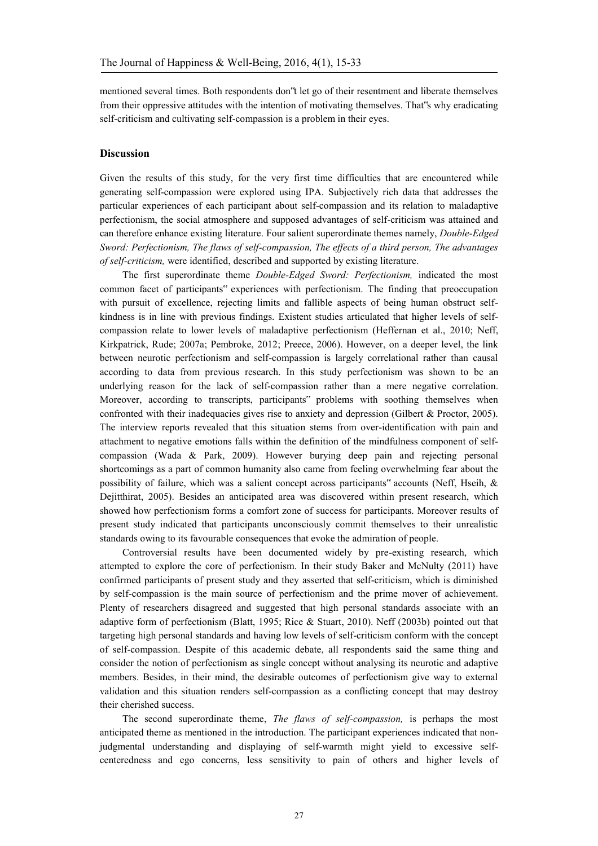mentioned several times. Both respondents don"t let go of their resentment and liberate themselves from their oppressive attitudes with the intention of motivating themselves. That"s why eradicating self-criticism and cultivating self-compassion is a problem in their eyes.

#### **Discussion**

Given the results of this study, for the very first time difficulties that are encountered while generating self-compassion were explored using IPA. Subjectively rich data that addresses the particular experiences of each participant about self-compassion and its relation to maladaptive perfectionism, the social atmosphere and supposed advantages of self-criticism was attained and can therefore enhance existing literature. Four salient superordinate themes namely, *Double-Edged Sword: Perfectionism, The flaws of self-compassion, The effects of a third person, The advantages of self-criticism,* were identified, described and supported by existing literature.

The first superordinate theme *Double-Edged Sword: Perfectionism,* indicated the most common facet of participants" experiences with perfectionism. The finding that preoccupation with pursuit of excellence, rejecting limits and fallible aspects of being human obstruct selfkindness is in line with previous findings. Existent studies articulated that higher levels of selfcompassion relate to lower levels of maladaptive perfectionism (Heffernan et al., 2010; Neff, Kirkpatrick, Rude; 2007a; Pembroke, 2012; Preece, 2006). However, on a deeper level, the link between neurotic perfectionism and self-compassion is largely correlational rather than causal according to data from previous research. In this study perfectionism was shown to be an underlying reason for the lack of self-compassion rather than a mere negative correlation. Moreover, according to transcripts, participants" problems with soothing themselves when confronted with their inadequacies gives rise to anxiety and depression (Gilbert & Proctor, 2005). The interview reports revealed that this situation stems from over-identification with pain and attachment to negative emotions falls within the definition of the mindfulness component of selfcompassion (Wada & Park, 2009). However burying deep pain and rejecting personal shortcomings as a part of common humanity also came from feeling overwhelming fear about the possibility of failure, which was a salient concept across participants" accounts (Neff, Hseih, & Dejitthirat, 2005). Besides an anticipated area was discovered within present research, which showed how perfectionism forms a comfort zone of success for participants. Moreover results of present study indicated that participants unconsciously commit themselves to their unrealistic standards owing to its favourable consequences that evoke the admiration of people.

Controversial results have been documented widely by pre-existing research, which attempted to explore the core of perfectionism. In their study Baker and McNulty (2011) have confirmed participants of present study and they asserted that self-criticism, which is diminished by self-compassion is the main source of perfectionism and the prime mover of achievement. Plenty of researchers disagreed and suggested that high personal standards associate with an adaptive form of perfectionism (Blatt, 1995; Rice & Stuart, 2010). Neff (2003b) pointed out that targeting high personal standards and having low levels of self-criticism conform with the concept of self-compassion. Despite of this academic debate, all respondents said the same thing and consider the notion of perfectionism as single concept without analysing its neurotic and adaptive members. Besides, in their mind, the desirable outcomes of perfectionism give way to external validation and this situation renders self-compassion as a conflicting concept that may destroy their cherished success.

The second superordinate theme, *The flaws of self-compassion,* is perhaps the most anticipated theme as mentioned in the introduction. The participant experiences indicated that nonjudgmental understanding and displaying of self-warmth might yield to excessive selfcenteredness and ego concerns, less sensitivity to pain of others and higher levels of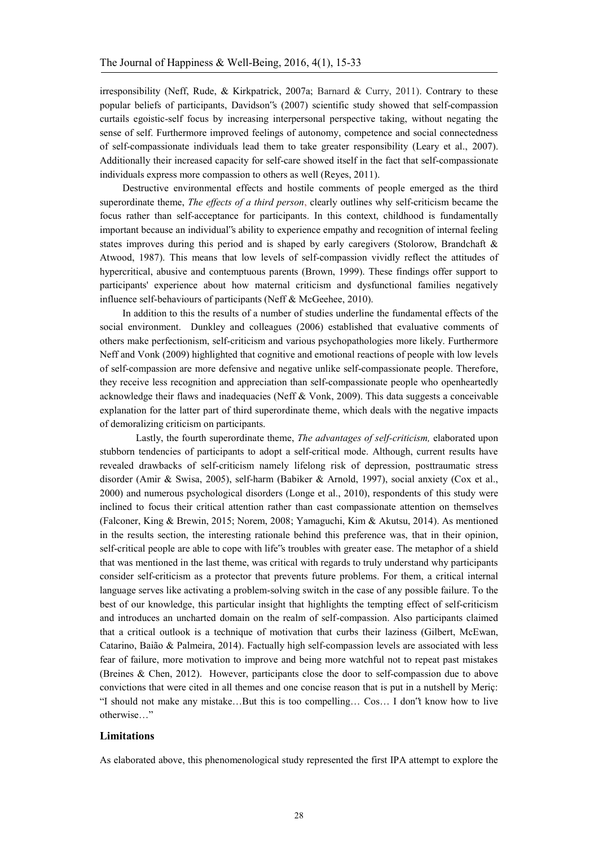irresponsibility (Neff, Rude,  $\&$  Kirkpatrick, 2007a; Barnard  $\&$  Curry, 2011). Contrary to these popular beliefs of participants, Davidson"s (2007) scientific study showed that self-compassion curtails egoistic-self focus by increasing interpersonal perspective taking, without negating the sense of self. Furthermore improved feelings of autonomy, competence and social connectedness of self-compassionate individuals lead them to take greater responsibility (Leary et al., 2007). Additionally their increased capacity for self-care showed itself in the fact that self-compassionate individuals express more compassion to others as well (Reyes, 2011).

Destructive environmental effects and hostile comments of people emerged as the third superordinate theme, *The effects of a third person*, clearly outlines why self-criticism became the focus rather than self-acceptance for participants. In this context, childhood is fundamentally important because an individual"s ability to experience empathy and recognition of internal feeling states improves during this period and is shaped by early caregivers (Stolorow, Brandchaft & Atwood, 1987). This means that low levels of self-compassion vividly reflect the attitudes of hypercritical, abusive and contemptuous parents (Brown, 1999). These findings offer support to participants' experience about how maternal criticism and dysfunctional families negatively influence self-behaviours of participants (Neff & McGeehee, 2010).

In addition to this the results of a number of studies underline the fundamental effects of the social environment. Dunkley and colleagues (2006) established that evaluative comments of others make perfectionism, self-criticism and various psychopathologies more likely. Furthermore Neff and Vonk (2009) highlighted that cognitive and emotional reactions of people with low levels of self-compassion are more defensive and negative unlike self-compassionate people. Therefore, they receive less recognition and appreciation than self-compassionate people who openheartedly acknowledge their flaws and inadequacies (Neff & Vonk, 2009). This data suggests a conceivable explanation for the latter part of third superordinate theme, which deals with the negative impacts of demoralizing criticism on participants.

 Lastly, the fourth superordinate theme, *The advantages of self-criticism,* elaborated upon stubborn tendencies of participants to adopt a self-critical mode. Although, current results have revealed drawbacks of self-criticism namely lifelong risk of depression, posttraumatic stress disorder (Amir & Swisa, 2005), self-harm (Babiker & Arnold, 1997), social anxiety (Cox et al., 2000) and numerous psychological disorders (Longe et al., 2010), respondents of this study were inclined to focus their critical attention rather than cast compassionate attention on themselves (Falconer, King & Brewin, 2015; Norem, 2008; Yamaguchi, Kim & Akutsu, 2014). As mentioned in the results section, the interesting rationale behind this preference was, that in their opinion, self-critical people are able to cope with life"s troubles with greater ease. The metaphor of a shield that was mentioned in the last theme, was critical with regards to truly understand why participants consider self-criticism as a protector that prevents future problems. For them, a critical internal language serves like activating a problem-solving switch in the case of any possible failure. To the best of our knowledge, this particular insight that highlights the tempting effect of self-criticism and introduces an uncharted domain on the realm of self-compassion. Also participants claimed that a critical outlook is a technique of motivation that curbs their laziness (Gilbert, McEwan, Catarino, Baião & Palmeira, 2014). Factually high self-compassion levels are associated with less fear of failure, more motivation to improve and being more watchful not to repeat past mistakes (Breines & Chen, 2012). However, participants close the door to self-compassion due to above convictions that were cited in all themes and one concise reason that is put in a nutshell by Meriç: "I should not make any mistake…But this is too compelling… Cos… I don"t know how to live otherwise…"

### **Limitations**

As elaborated above, this phenomenological study represented the first IPA attempt to explore the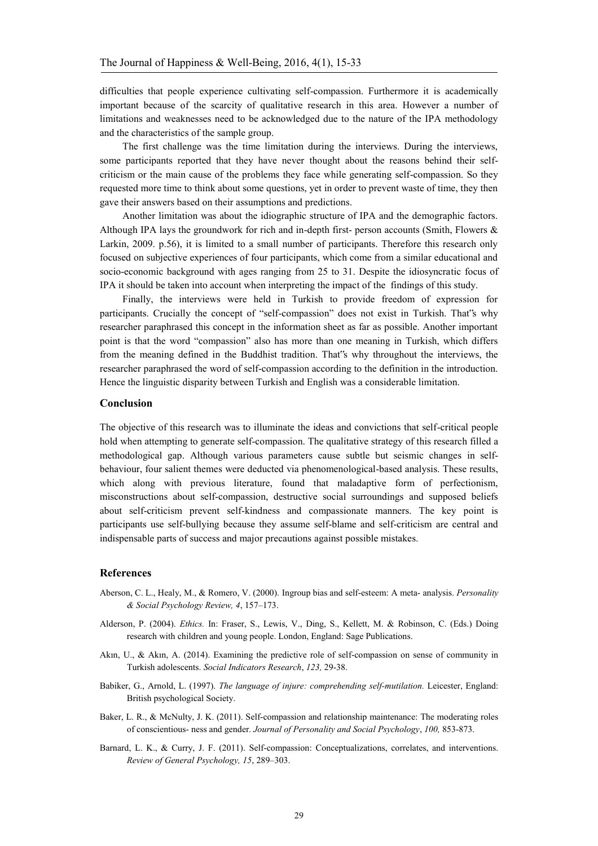difficulties that people experience cultivating self-compassion. Furthermore it is academically important because of the scarcity of qualitative research in this area. However a number of limitations and weaknesses need to be acknowledged due to the nature of the IPA methodology and the characteristics of the sample group.

The first challenge was the time limitation during the interviews. During the interviews, some participants reported that they have never thought about the reasons behind their selfcriticism or the main cause of the problems they face while generating self-compassion. So they requested more time to think about some questions, yet in order to prevent waste of time, they then gave their answers based on their assumptions and predictions.

Another limitation was about the idiographic structure of IPA and the demographic factors. Although IPA lays the groundwork for rich and in-depth first- person accounts (Smith, Flowers & Larkin, 2009. p.56), it is limited to a small number of participants. Therefore this research only focused on subjective experiences of four participants, which come from a similar educational and socio-economic background with ages ranging from 25 to 31. Despite the idiosyncratic focus of IPA it should be taken into account when interpreting the impact of the findings of this study.

Finally, the interviews were held in Turkish to provide freedom of expression for participants. Crucially the concept of "self-compassion" does not exist in Turkish. That"s why researcher paraphrased this concept in the information sheet as far as possible. Another important point is that the word "compassion" also has more than one meaning in Turkish, which differs from the meaning defined in the Buddhist tradition. That"s why throughout the interviews, the researcher paraphrased the word of self-compassion according to the definition in the introduction. Hence the linguistic disparity between Turkish and English was a considerable limitation.

#### **Conclusion**

The objective of this research was to illuminate the ideas and convictions that self-critical people hold when attempting to generate self-compassion. The qualitative strategy of this research filled a methodological gap. Although various parameters cause subtle but seismic changes in selfbehaviour, four salient themes were deducted via phenomenological-based analysis. These results, which along with previous literature, found that maladaptive form of perfectionism, misconstructions about self-compassion, destructive social surroundings and supposed beliefs about self-criticism prevent self-kindness and compassionate manners. The key point is participants use self-bullying because they assume self-blame and self-criticism are central and indispensable parts of success and major precautions against possible mistakes.

#### **References**

- Aberson, C. L., Healy, M., & Romero, V. (2000). Ingroup bias and self-esteem: A meta- analysis. *Personality & Social Psychology Review, 4*, 157–173.
- Alderson, P. (2004). *Ethics.* In: Fraser, S., Lewis, V., Ding, S., Kellett, M. & Robinson, C. (Eds.) Doing research with children and young people. London, England: Sage Publications.
- Akın, U., & Akın, A. (2014). Examining the predictive role of self-compassion on sense of community in Turkish adolescents. *Social Indicators Research*, *123,* 29-38.
- Babiker, G., Arnold, L. (1997). *The language of injure: comprehending self-mutilation.* Leicester, England: British psychological Society.
- Baker, L. R., & McNulty, J. K. (2011). Self-compassion and relationship maintenance: The moderating roles of conscientious- ness and gender. *Journal of Personality and Social Psychology*, *100,* 853-873.
- Barnard, L. K., & Curry, J. F. (2011). Self-compassion: Conceptualizations, correlates, and interventions. *Review of General Psychology, 15*, 289–303.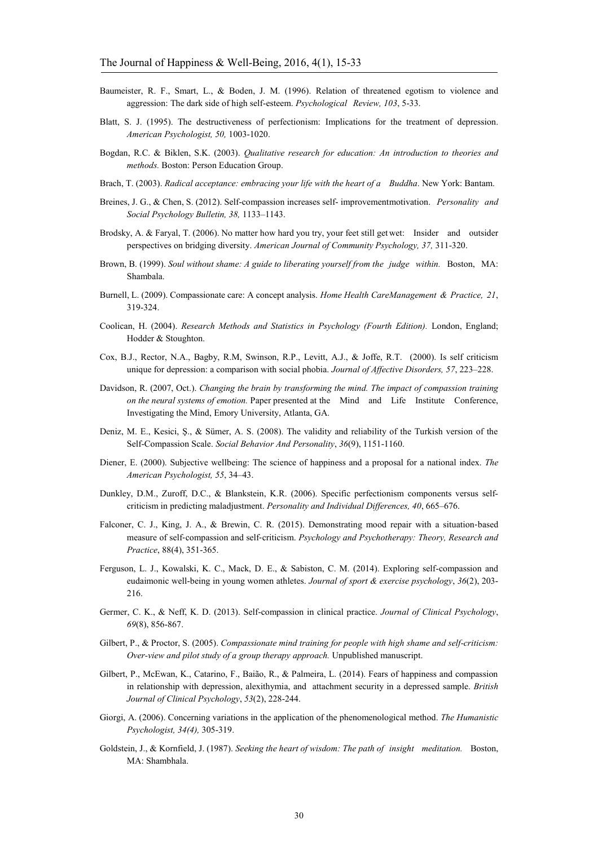- Baumeister, R. F., Smart, L., & Boden, J. M. (1996). Relation of threatened egotism to violence and aggression: The dark side of high self-esteem. *Psychological Review, 103*, 5-33.
- Blatt, S. J. (1995). The destructiveness of perfectionism: Implications for the treatment of depression. *American Psychologist, 50,* 1003-1020.
- Bogdan, R.C. & Biklen, S.K. (2003). *Qualitative research for education: An introduction to theories and methods.* Boston: Person Education Group.
- Brach, T. (2003). *Radical acceptance: embracing your life with the heart of a Buddha*. New York: Bantam.
- Breines, J. G., & Chen, S. (2012). Self-compassion increases self- improvement motivation. *Personality and Social Psychology Bulletin, 38,* 1133–1143.
- Brodsky, A. & Faryal, T. (2006). No matter how hard you try, your feet still get wet: Insider and outsider perspectives on bridging diversity. *American Journal of Community Psychology, 37,* 311-320.
- Brown, B. (1999). *Soul without shame: A guide to liberating yourself from the judge within.* Boston, MA: Shambala.
- Burnell, L. (2009). Compassionate care: A concept analysis. *Home Health Care Management & Practice, 21*, 319-324.
- Coolican, H. (2004). *Research Methods and Statistics in Psychology (Fourth Edition).* London, England; Hodder & Stoughton.
- Cox, B.J., Rector, N.A., Bagby, R.M, Swinson, R.P., Levitt, A.J., & Joffe, R.T. (2000). Is self criticism unique for depression: a comparison with social phobia. *Journal of Affective Disorders, 57*, 223–228.
- Davidson, R. (2007, Oct.). *Changing the brain by transforming the mind. The impact of compassion training on the neural systems of emotion.* Paper presented at the Mind and Life Institute Conference, Investigating the Mind, Emory University, Atlanta, GA.
- Deniz, M. E., Kesici, Ş., & Sümer, A. S. (2008). The validity and reliability of the Turkish version of the Self-Compassion Scale. *Social Behavior And Personality*, *36*(9), 1151-1160.
- Diener, E. (2000). Subjective wellbeing: The science of happiness and a proposal for a national index. *The American Psychologist, 55*, 34–43.
- Dunkley, D.M., Zuroff, D.C., & Blankstein, K.R. (2006). Specific perfectionism components versus selfcriticism in predicting maladjustment. *Personality and Individual Differences, 40*, 665–676.
- Falconer, C. J., King, J. A., & Brewin, C. R. (2015). Demonstrating mood repair with a situation‐based measure of self‐compassion and self‐criticism. *Psychology and Psychotherapy: Theory, Research and Practice*, 88(4), 351-365.
- Ferguson, L. J., Kowalski, K. C., Mack, D. E., & Sabiston, C. M. (2014). Exploring self-compassion and eudaimonic well-being in young women athletes. *Journal of sport & exercise psychology*, *36*(2), 203- 216.
- Germer, C. K., & Neff, K. D. (2013). Self-compassion in clinical practice. *Journal of Clinical Psychology*, *69*(8), 856-867.
- Gilbert, P., & Proctor, S. (2005). *Compassionate mind training for people with high shame and self-criticism: Over-view and pilot study of a group therapy approach.* Unpublished manuscript.
- Gilbert, P., McEwan, K., Catarino, F., Baião, R., & Palmeira, L. (2014). Fears of happiness and compassion in relationship with depression, alexithymia, and attachment security in a depressed sample. *British Journal of Clinical Psychology*, *53*(2), 228-244.
- Giorgi, A. (2006). Concerning variations in the application of the phenomenological method. *The Humanistic Psychologist, 34(4),* 305-319.
- Goldstein, J., & Kornfield, J. (1987). *Seeking the heart of wisdom: The path of insight meditation.* Boston, MA: Shambhala.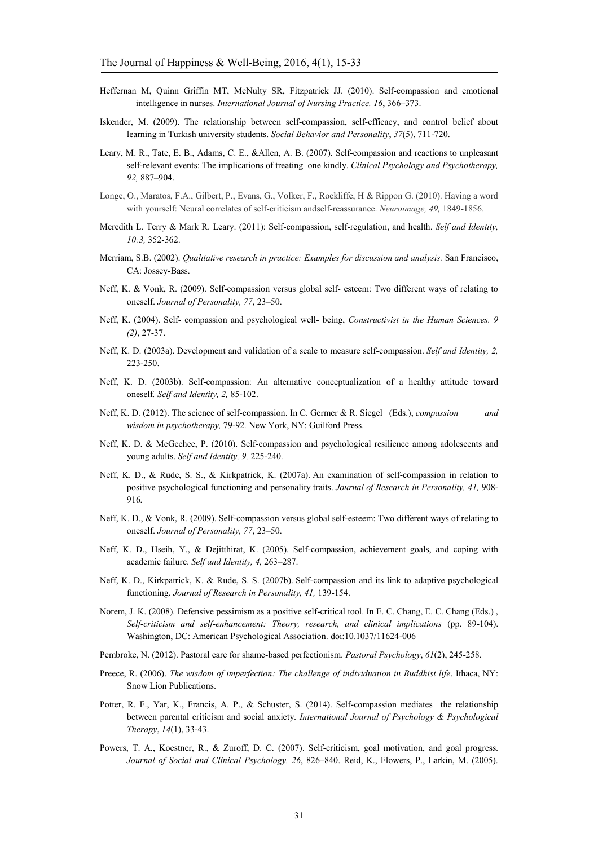- Heffernan M, Quinn Griffin MT, McNulty SR, Fitzpatrick JJ. (2010). Self-compassion and emotional intelligence in nurses. *International Journal of Nursing Practice, 16*, 366–373.
- Iskender, M. (2009). The relationship between self-compassion, self-efficacy, and control belief about learning in Turkish university students. *Social Behavior and Personality*, *37*(5), 711-720.
- Leary, M. R., Tate, E. B., Adams, C. E., &Allen, A. B. (2007). Self-compassion and reactions to unpleasant self-relevant events: The implications of treating one kindly. *Clinical Psychology and Psychotherapy, 92,* 887–904.
- Longe, O., Maratos, F.A., Gilbert, P., Evans, G., Volker, F., Rockliffe, H & Rippon G. (2010). Having a word with yourself: Neural correlates of self-criticism andself-reassurance. *Neuroimage, 49,* 1849-1856.
- Meredith L. Terry & Mark R. Leary. (2011): Self-compassion, self-regulation, and health. *Self and Identity, 10:3,* 352-362.
- Merriam, S.B. (2002). *Qualitative research in practice: Examples for discussion and analysis.* San Francisco, CA: Jossey-Bass.
- Neff, K. & Vonk, R. (2009). Self-compassion versus global self- esteem: Two different ways of relating to oneself. *Journal of Personality, 77*, 23–50.
- Neff, K. (2004). Self- compassion and psychological well- being, *Constructivist in the Human Sciences. 9 (2)*, 27-37.
- Neff, K. D. (2003a). Development and validation of a scale to measure self-compassion. *Self and Identity, 2,*  223-250.
- Neff, K. D. (2003b). Self-compassion: An alternative conceptualization of a healthy attitude toward oneself*. Self and Identity, 2,* 85-102.
- Neff, K. D. (2012). The science of self-compassion. In C. Germer & R. Siegel (Eds.), *compassion and wisdom in psychotherapy,* 79-92*.* New York, NY: Guilford Press.
- Neff, K. D. & McGeehee, P. (2010). Self-compassion and psychological resilience among adolescents and young adults. *Self and Identity, 9,* 225-240.
- Neff, K. D., & Rude, S. S., & Kirkpatrick, K. (2007a). An examination of self-compassion in relation to positive psychological functioning and personality traits. *Journal of Research in Personality, 41,* 908- 916*.*
- Neff, K. D., & Vonk, R. (2009). Self-compassion versus global self-esteem: Two different ways of relating to oneself. *Journal of Personality, 77*, 23–50.
- Neff, K. D., Hseih, Y., & Dejitthirat, K. (2005). Self-compassion, achievement goals, and coping with academic failure. *Self and Identity, 4,* 263–287.
- Neff, K. D., Kirkpatrick, K. & Rude, S. S. (2007b). Self-compassion and its link to adaptive psychological functioning. *Journal of Research in Personality, 41,* 139-154.
- Norem, J. K. (2008). Defensive pessimism as a positive self-critical tool. In E. C. Chang, E. C. Chang (Eds.) , *Self-criticism and self-enhancement: Theory, research, and clinical implications* (pp. 89-104). Washington, DC: American Psychological Association. doi:10.1037/11624-006
- Pembroke, N. (2012). Pastoral care for shame-based perfectionism. *Pastoral Psychology*, *61*(2), 245-258.
- Preece, R. (2006). *The wisdom of imperfection: The challenge of individuation in Buddhist life*. Ithaca, NY: Snow Lion Publications.
- Potter, R. F., Yar, K., Francis, A. P., & Schuster, S. (2014). Self-compassion mediates the relationship between parental criticism and social anxiety. *International Journal of Psychology & Psychological Therapy*, *14*(1), 33-43.
- Powers, T. A., Koestner, R., & Zuroff, D. C. (2007). Self-criticism, goal motivation, and goal progress. *Journal of Social and Clinical Psychology, 26*, 826–840. Reid, K., Flowers, P., Larkin, M. (2005).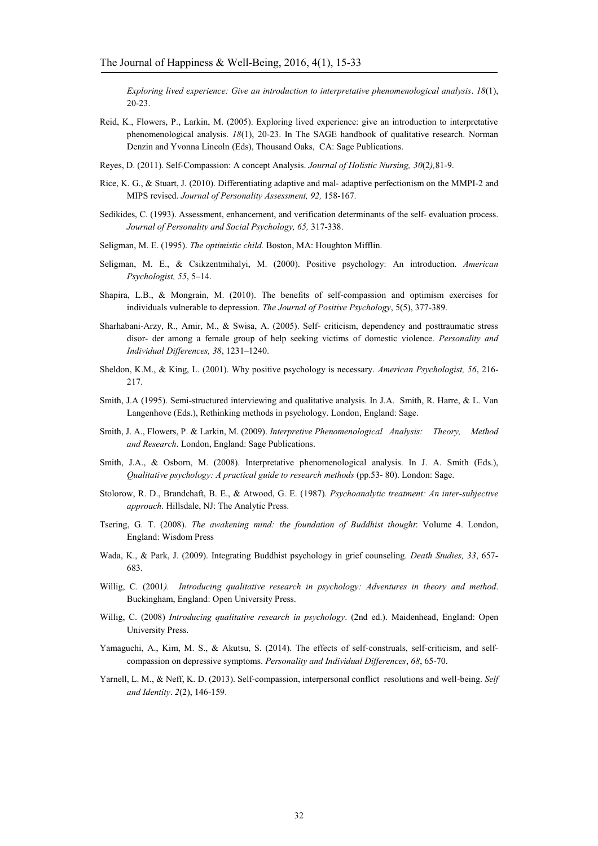*Exploring lived experience: Give an introduction to interpretative phenomenological analysis*. *18*(1), 20-23.

- Reid, K., Flowers, P., Larkin, M. (2005). Exploring lived experience: give an introduction to interpretative phenomenological analysis. *18*(1), 20-23. In The SAGE handbook of qualitative research. Norman Denzin and Yvonna Lincoln (Eds), Thousand Oaks, CA: Sage Publications.
- Reyes, D. (2011). Self-Compassion: A concept Analysis. *Journal of Holistic Nursing, 30*(2*),*81-9.
- Rice, K. G., & Stuart, J. (2010). Differentiating adaptive and mal- adaptive perfectionism on the MMPI-2 and MIPS revised. *Journal of Personality Assessment, 92,* 158-167.
- Sedikides, C. (1993). Assessment, enhancement, and verification determinants of the self- evaluation process. *Journal of Personality and Social Psychology, 65,* 317-338.
- Seligman, M. E. (1995). *The optimistic child.* Boston, MA: Houghton Mifflin.
- Seligman, M. E., & Csikzentmihalyi, M. (2000). Positive psychology: An introduction. *American Psychologist, 55*, 5–14.
- Shapira, L.B., & Mongrain, M. (2010). The benefits of self-compassion and optimism exercises for individuals vulnerable to depression. *The Journal of Positive Psychology*, 5(5), 377-389.
- Sharhabani-Arzy, R., Amir, M., & Swisa, A. (2005). Self- criticism, dependency and posttraumatic stress disor- der among a female group of help seeking victims of domestic violence. *Personality and Individual Differences, 38*, 1231–1240.
- Sheldon, K.M., & King, L. (2001). Why positive psychology is necessary. *American Psychologist, 56*, 216- 217.
- Smith, J.A (1995). Semi-structured interviewing and qualitative analysis. In J.A. Smith, R. Harre, & L. Van Langenhove (Eds.), Rethinking methods in psychology. London, England: Sage.
- Smith, J. A., Flowers, P. & Larkin, M. (2009). *Interpretive Phenomenological Analysis: Theory, Method and Research*. London, England: Sage Publications.
- Smith, J.A., & Osborn, M. (2008). Interpretative phenomenological analysis. In J. A. Smith (Eds.), *Qualitative psychology: A practical guide to research methods* (pp.53- 80). London: Sage.
- Stolorow, R. D., Brandchaft, B. E., & Atwood, G. E. (1987). *Psychoanalytic treatment: An inter-subjective approach*. Hillsdale, NJ: The Analytic Press.
- Tsering, G. T. (2008). *The awakening mind: the foundation of Buddhist thought*: Volume 4. London, England: Wisdom Press
- Wada, K., & Park, J. (2009). Integrating Buddhist psychology in grief counseling. *Death Studies, 33*, 657- 683.
- Willig, C. (2001*). Introducing qualitative research in psychology: Adventures in theory and method*. Buckingham, England: Open University Press.
- Willig, C. (2008) *Introducing qualitative research in psychology*. (2nd ed.). Maidenhead, England: Open University Press.
- Yamaguchi, A., Kim, M. S., & Akutsu, S. (2014). The effects of self-construals, self-criticism, and selfcompassion on depressive symptoms. *Personality and Individual Differences*, *68*, 65-70.
- Yarnell, L. M., & Neff, K. D. (2013). Self-compassion, interpersonal conflict resolutions and well-being. *Self and Identity*. *2*(2), 146-159.